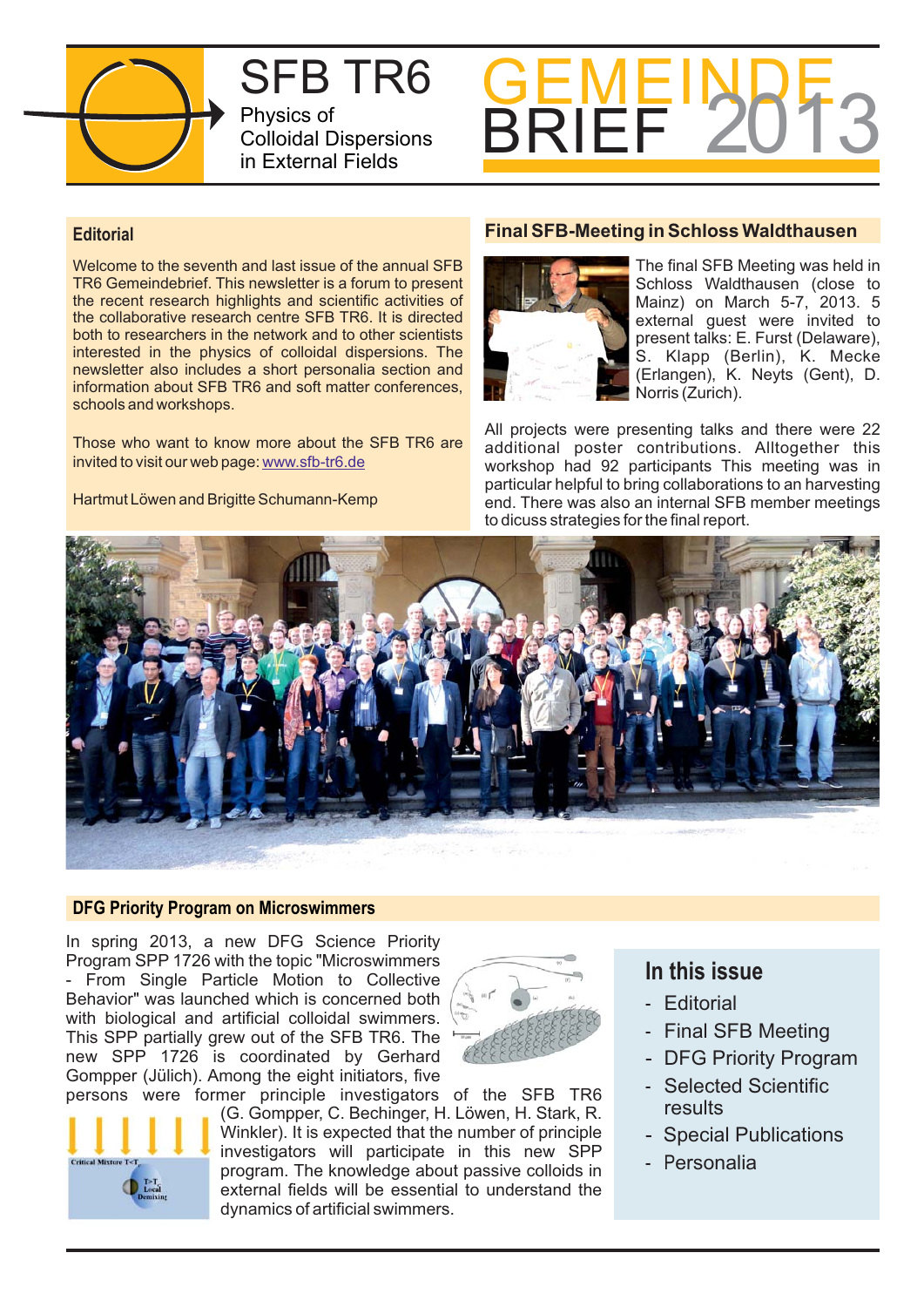

SFB TR6 Physics of Colloidal Dispersions in External Fields



### **Editorial**

Welcome to the seventh and last issue of the annual SFB TR6 Gemeindebrief. This newsletter is a forum to present the recent research highlights and scientific activities of the collaborative research centre SFB TR6. It is directed both to researchers in the network and to other scientists interested in the physics of colloidal dispersions. The newsletter also includes a short personalia section and information about SFB TR6 and soft matter conferences, schools and workshops.

Those who want to know more about the SFB TR6 are invited to visit our web page: www.sfb-tr6.de

Hartmut Löwen and Brigitte Schumann-Kemp

### **Final SFB-Meeting in Schloss Waldthausen**



The final SFB Meeting was held in Schloss Waldthausen (close to Mainz) on March 5-7, 2013. 5 external guest were invited to present talks: E. Furst (Delaware), S. Klapp (Berlin), K. Mecke (Erlangen), K. Neyts (Gent), D. Norris (Zurich).

All projects were presenting talks and there were 22 additional poster contributions. Alltogether this workshop had 92 participants This meeting was in particular helpful to bring collaborations to an harvesting end. There was also an internal SFB member meetings to dicuss strategies for the final report.



### **DFG Priority Program on Microswimmers**

In spring 2013, a new DFG Science Priority Program SPP 1726 with the topic "Microswimmers

- From Single Particle Motion to Collective Behavior" was launched which is concerned both with biological and artificial colloidal swimmers. This SPP partially grew out of the SFB TR6. The new SPP 1726 is coordinated by Gerhard Gompper (Jülich). Among the eight initiators, five



persons were former principle investigators of the SFB TR6 (G. Gompper, C. Bechinger, H. Löwen, H. Stark, R. Winkler). It is expected that the number of principle investigators will participate in this new SPP program. The knowledge about passive colloids in external fields will be essential to understand the dynamics of artificial swimmers.

# **In this issue**

- Editorial
- Final SFB Meeting
- DFG Priority Program
- Selected Scientific results
- Special Publications
- P ersonalia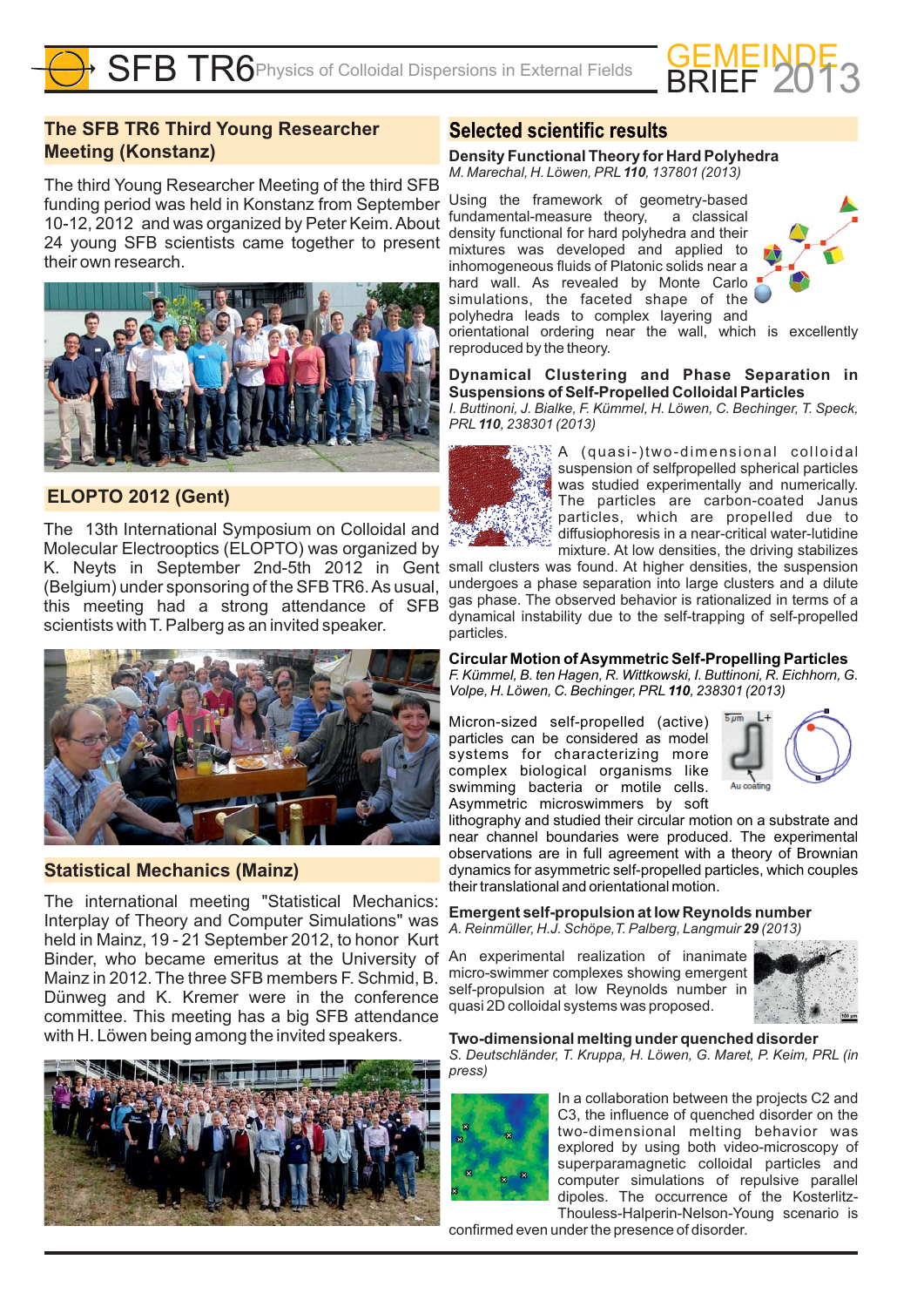

# **The SFB TR6 Third Young Researcher Meeting (Konstanz)**

The third Young Researcher Meeting of the third SFB funding period was held in Konstanz from September 10-12, 2012 and was organized by Peter Keim.About 24 young SFB scientists came together to present their own research.



# **ELOPTO 2012 (Gent)**

The 13th International Symposium on Colloidal and Molecular Electrooptics (ELOPTO) was organized by (Belgium) under sponsoring of the SFB TR6.As usual, this meeting had a strong attendance of SFB scientists with T. Palberg as an invited speaker.



### **Statistical Mechanics (Mainz)**

The international meeting "Statistical Mechanics: Interplay of Theory and Computer Simulations" was held in Mainz, 19 - 21 September 2012, to honor Kurt Binder, who became emeritus at the University of Mainz in 2012. The three SFB members F. Schmid, B. Dünweg and K. Kremer were in the conference committee. This meeting has a big SFB attendance with H. Löwen being among the invited speakers.



### **Selected scientific results**

# **Density Functional Theory for Hard Polyhedra**

*M. Marechal, H. Löwen, PRL* 110, 137801 (2013) Using the framework of geometry-based

fundamental-measure theory, a classical density functional for hard polyhedra and their mixtures was developed and applied to inhomogeneous fluids of Platonic solids near a hard wall. As revealed by Monte Carlo simulations, the faceted shape of the polyhedra leads to complex layering and



orientational ordering near the wall, which is excellently reproduced by the theory.

#### **Dynamical Clustering and Phase Separation in Suspensions of Self-Propelled Colloidal Particles**

*I. Buttinoni, J. Bialke, F. Kümmel, H. Löwen, C. Bechinger, T. Speck, PRL , 238301 (2013) 110*



A (quasi-)two-dimensional colloidal suspension of selfpropelled spherical particles . was studied experimentally and numerically The particles are carbon-coated Janus particles, which are propelled due to diffusiophoresis in a near-critical water-lutidine mixture. At low densities, the driving stabilizes

K. Neyts in September 2nd-5th 2012 in Gent small clusters was found. At higher densities, the suspension undergoes a phase separation into large clusters and a dilute gas phase. The observed behavior is rationalized in terms of a dynamical instability due to the self-trapping of self-propelled particles.

> **Circular Motion ofAsymmetric Self-Propelling Particles** *F. Kümmel, B. ten Hagen, R. Wittkowski, I. Buttinoni, R. Eichhorn, G. Volpe, H. Löwen, C. Bechinger, PRL* **110**, 238301 (2013)

Micron-sized self-propelled (active) particles can be considered as model systems for characterizing more complex biological organisms like swimming bacteria or motile cells. Asymmetric microswimmers by soft



lithography and studied their circular motion on a substrate and near channel boundaries were produced. The experimental observations are in full agreement with a theory of Brownian dynamics for asymmetric self-propelled particles, which couples their translational and orientational motion.

**Emergent self-propulsion at low Reynolds number** *A. Reinmüller, H.J. Schöpe,T. Palberg, Langmuir (2013) 29*

An experimental realization of inanimate micro-swimmer complexes showing emergent self-propulsion at low Reynolds number in quasi 2D colloidal systems was proposed.



#### **Two-dimensional melting under quenched disorder**

*S. Deutschländer, T. Kruppa, H. Löwen, G. Maret, P. Keim, PRL (in press)*



In a collaboration between the projects C2 and C3, the influence of quenched disorder on the two-dimensional melting behavior was explored by using both video-microscopy of superparamagnetic colloidal particles and computer simulations of repulsive parallel dipoles. The occurrence of the Kosterlitz-Thouless-Halperin-Nelson-Young scenario is

confirmed even under the presence of disorder.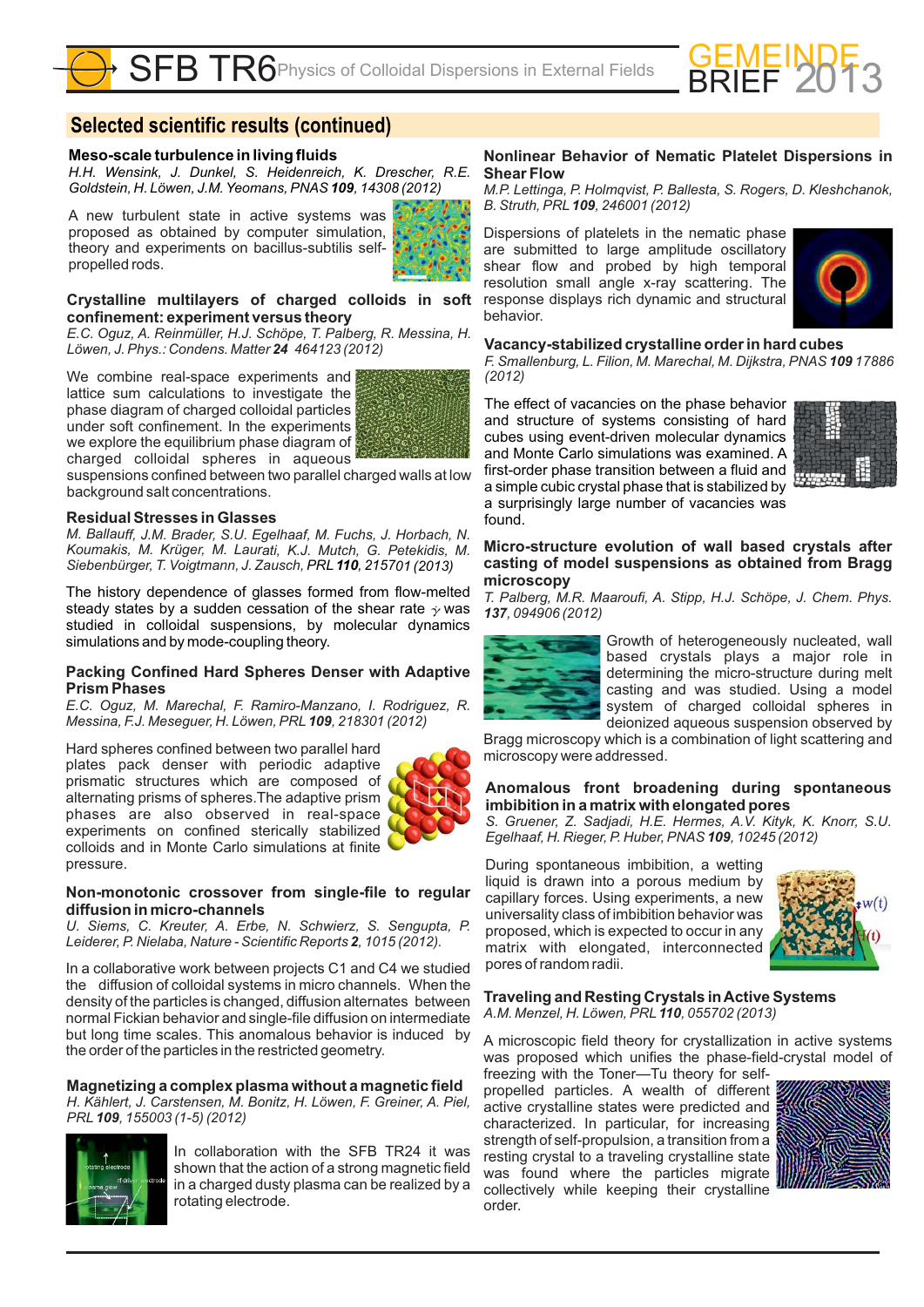

# **Selected scientific results (continued)**

#### **Meso-scale turbulence in living fluids**

*H.H. Wensink, J. Dunkel, S. Heidenreich, K. Drescher, R.E. Goldstein, H. Löwen, J.M. Yeomans, PNAS* 109, 14308 (2012)

A new turbulent state in active systems was proposed as obtained by computer simulation, theory and experiments on bacillus-subtilis selfpropelled rods.



#### **Crystalline multilayers of charged colloids in soft confinement: experiment versus theory**

*E.C. Oguz, A. Reinmüller, H.J. Schöpe, T. Palberg, R. Messina, H. Löwen, J. Phys.: Condens. Matter 464123 24 (2012)*

We combine real-space experiments and lattice sum calculations to investigate the phase diagram of charged colloidal particles under soft confinement. In the experiments we explore the equilibrium phase diagram of charged colloidal spheres in aqueous



suspensions confined between two parallel charged walls at low background salt concentrations.

#### **Residual Stresses in Glasses**

*M. Ballauff, J.M. Brader, S.U. Egelhaaf, M. Fuchs, J. Horbach, N. Koumakis, M. Krüger, M. Laurati, K.J. Mutch, G. Petekidis, M. Siebenbürger, T. Voigtmann, J. Zausch, PRL , 215701 110 (2013)*

The history dependence of glasses formed from flow-melted steady states by a sudden cessation of the shear rate  $\dot{\gamma}$  was studied in colloidal suspensions, by molecular dynamics simulations and by mode-coupling theory.

#### **Packing Confined Hard Spheres Denser with Adaptive Prism Phases**

*E.C. Oguz, M. Marechal, F. Ramiro-Manzano, I. Rodriguez, R. Messina, F.J. Meseguer, H. Löwen, PRL* 109, 218301 (2012)

Hard spheres confined between two parallel hard plates pack denser with periodic adaptive prismatic structures which are composed of alternating prisms of spheres.The adaptive prism phases are also observed in real-space experiments on confined sterically stabilized colloids and in Monte Carlo simulations at finite pressure.



#### **Non-monotonic crossover from single-file to regular diffusion in micro-channels**

*U. Siems, C. Kreuter, A. Erbe, N. Schwierz, S. Sengupta, P.* Leiderer, P. Nielaba, Nature - Scientific Reports 2, 1015 (2012).

In a collaborative work between projects C1 and C4 we studied the diffusion of colloidal systems in micro channels. When the density of the particles is changed, diffusion alternates between normal Fickian behavior and single-file diffusion on intermediate but long time scales. This anomalous behavior is induced by the order of the particles in the restricted geometry.

**Magnetizing a complex plasma without a magnetic field** *H. Kählert, J. Carstensen, M. Bonitz, H. Löwen, F. Greiner, A. Piel, PRL* **109**, 155003 (1-5) (2012)



In collaboration with the SFB TR24 it was shown that the action of a strong magnetic field in a charged dusty plasma can be realized by a rotating electrode.

#### **Nonlinear Behavior of Nematic Platelet Dispersions in Shear Flow**

*M.P. Lettinga, P. Holmqvist, P. Ballesta, S. Rogers, D. Kleshchanok, B. Struth, PRL* **109**, 246001 (2012)

Dispersions of platelets in the nematic phase are submitted to large amplitude oscillatory shear flow and probed by high temporal resolution small angle x-ray scattering. The response displays rich dynamic and structural behavior.



#### **Vacancy-stabilized crystalline order in hard cubes**

*F. Smallenburg, L. Filion, M. Marechal, M. Dijkstra, PNAS 109 17886 (2012)*

The effect of vacancies on the phase behavior and structure of systems consisting of hard cubes using event-driven molecular dynamics and Monte Carlo simulations was examined. A first-order phase transition between a fluid and a simple cubic crystal phase that is stabilized by a surprisingly large number of vacancies was found.



**Micro-structure evolution of wall based crystals after casting of model suspensions as obtained from Bragg microscopy**

*T. Palberg, M.R. Maaroufi, A. Stipp, H.J. Schöpe, J. Chem. Phys. 137, 094906 (2012)*



Growth of heterogeneously nucleated, wall based crystals plays a major role in determining the micro-structure during melt casting and was studied. Using a model system of charged colloidal spheres in deionized aqueous suspension observed by

Bragg microscopy which is a combination of light scattering and microscopy were addressed.

#### **Anomalous front broadening during spontaneous imbibition in a matrix with elongated pores**

*S. Gruener, Z. Sadjadi, H.E. Hermes, A.V. Kityk, K. Knorr, S.U. Egelhaaf, H. Rieger, P. Huber, PNAS 109, 10245 (2012)* 

During spontaneous imbibition, a wetting liquid is drawn into a porous medium by capillary forces. Using experiments, a new universality class of imbibition behavior was proposed, which is expected to occur in any matrix with elongated, interconnected pores of random radii.



**Traveling and Resting Crystals inActive Systems** *A.M. Menzel, H. Löwen, PRL , 055702 (2013) 110*

A microscopic field theory for crystallization in active systems was proposed which unifies the phase-field-crystal model of freezing with the Toner—Tu theory for self-

propelled particles. A wealth of different active crystalline states were predicted and characterized. In particular, for increasing strength of self-propulsion, a transition from a resting crystal to a traveling crystalline state was found where the particles migrate collectively while keeping their crystalline order.